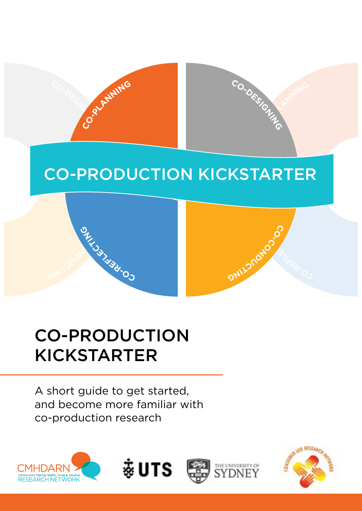

# **CO-PRODUCTION KICKSTARTER**

# CO-PRODUCTION KICKSTARTER

**CO-RECTICE AND DUCTION** 

**NI G**

**R**<br>- EEEE

A short guide to get started, and become more familiar with co-production research









O<sup>S</sup>LECTION

G **CO**

**C-**

**ONLL2natio**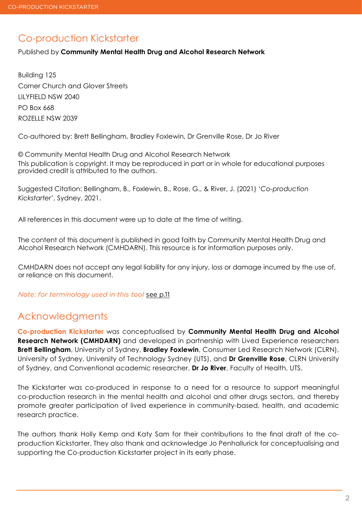### Co-production Kickstarter

Published by **Community Mental Health Drug and Alcohol Research Network**

Building 125 Corner Church and Glover Streets LILYFIELD NSW 2040 PO Box 668 ROZELLE NSW 2039

Co-authored by: Brett Bellingham, Bradley Foxlewin, Dr Grenville Rose, Dr Jo River

© Community Mental Health Drug and Alcohol Research Network This publication is copyright. It may be reproduced in part or in whole for educational purposes provided credit is attributed to the authors.

Suggested Citation: Bellingham, B., Foxlewin, B., Rose, G., & River, J. (2021) '*Co-production Kickstarter*', Sydney, 2021.

All references in this document were up to date at the time of writing.

The content of this document is published in good faith by Community Mental Health Drug and Alcohol Research Network (CMHDARN). This resource is for information purposes only.

CMHDARN does not accept any legal liability for any injury, loss or damage incurred by the use of, or reliance on this document.

*Note: for terminology used in this tool* [see p.1](#page-10-0)1

### Acknowledgments

**Co-production Kickstarter** was conceptualised by **Community Mental Health Drug and Alcohol Research Network (CMHDARN)** and developed in partnership with Lived Experience researchers **Brett Bellingham**, University of Sydney, **Bradley Foxlewin**, Consumer Led Research Network (CLRN), University of Sydney, University of Technology Sydney (UTS), and **Dr Grenville Rose**, CLRN University of Sydney, and Conventional academic researcher, **Dr Jo River**, Faculty of Health, UTS.

[The Kickstarter was co-produced in response to a need for a resource to support meaningful](#page-10-0)  co-production research in the mental health and alcohol and other drugs sectors, and thereby promote greater participation of lived experience in community-based, health, and academic research practice.

The authors thank Holly Kemp and Katy Sam for their contributions to the final draft of the coproduction Kickstarter. They also thank and acknowledge Jo Penhallurick for conceptualising and supporting the Co-production Kickstarter project in its early phase.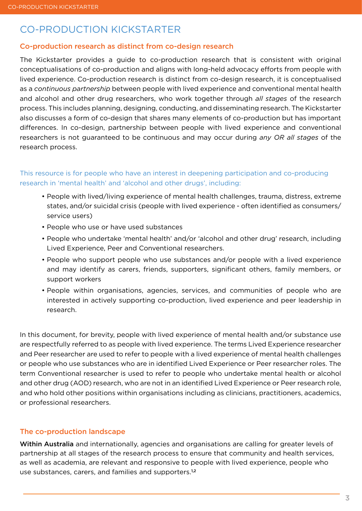# CO-PRODUCTION KICKSTARTER

#### Co-production research as distinct from co-design research

The Kickstarter provides a guide to co-production research that is consistent with original conceptualisations of co-production and aligns with long-held advocacy efforts from people with lived experience. Co-production research is distinct from co-design research, it is conceptualised as a *continuous partnership* between people with lived experience and conventional mental health and alcohol and other drug researchers, who work together through *all stages* of the research process. This includes planning, designing, conducting, and disseminating research. The Kickstarter also discusses a form of co-design that shares many elements of co-production but has important differences. In co-design, partnership between people with lived experience and conventional researchers is not guaranteed to be continuous and may occur during *any OR all stages* of the research process.

#### This resource is for people who have an interest in deepening participation and co-producing research in 'mental health' and 'alcohol and other drugs', including:

- People with lived/living experience of mental health challenges, trauma, distress, extreme states, and/or suicidal crisis (people with lived experience - often identified as consumers/ service users)
- People who use or have used substances
- People who undertake 'mental health' and/or 'alcohol and other drug' research, including Lived Experience, Peer and Conventional researchers.
- People who support people who use substances and/or people with a lived experience and may identify as carers, friends, supporters, significant others, family members, or support workers
- People within organisations, agencies, services, and communities of people who are interested in actively supporting co-production, lived experience and peer leadership in research.

In this document, for brevity, people with lived experience of mental health and/or substance use are respectfully referred to as people with lived experience. The terms Lived Experience researcher and Peer researcher are used to refer to people with a lived experience of mental health challenges or people who use substances who are in identified Lived Experience or Peer researcher roles. The term Conventional researcher is used to refer to people who undertake mental health or alcohol and other drug (AOD) research, who are not in an identified Lived Experience or Peer research role, and who hold other positions within organisations including as clinicians, practitioners, academics, or professional researchers.

#### The co-production landscape

Within Australia and internationally, agencies and organisations are calling for greater levels of partnership at all stages of the research process to ensure that community and health services, as well as academia, are relevant and responsive to people with lived experience, people who use substances, carers, and families and supporters.<sup>1,2</sup>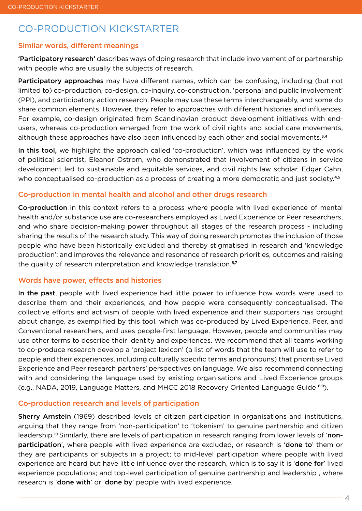# CO-PRODUCTION KICKSTARTER

### Similar words, different meanings

'Participatory research' describes ways of doing research that include involvement of or partnership with people who are usually the subjects of research.

Participatory approaches may have different names, which can be confusing, including (but not limited to) co-production, co-design, co-inquiry, co-construction, 'personal and public involvement' (PPI), and participatory action research. People may use these terms interchangeably, and some do share common elements. However, they refer to approaches with different histories and influences. For example, co-design originated from Scandinavian product development initiatives with endusers, whereas co-production emerged from the work of civil rights and social care movements, although these approaches have also been influenced by each other and social movements.<sup>3,4</sup>

In this tool, we highlight the approach called 'co-production', which was influenced by the work of political scientist, Eleanor Ostrom, who demonstrated that involvement of citizens in service development led to sustainable and equitable services, and civil rights law scholar, Edgar Cahn, who conceptualised co-production as a process of creating a more democratic and just society.<sup>4,5</sup>

#### Co-production in mental health and alcohol and other drugs research

Co-production in this context refers to a process where people with lived experience of mental health and/or substance use are co-researchers employed as Lived Experience or Peer researchers, and who share decision-making power throughout all stages of the research process - including sharing the results of the research study. This way of doing research promotes the inclusion of those people who have been historically excluded and thereby stigmatised in research and 'knowledge production'; and improves the relevance and resonance of research priorities, outcomes and raising the quality of research interpretation and knowledge translation.<sup>6,7</sup>

#### Words have power, effects and histories

In the past, people with lived experience had little power to influence how words were used to describe them and their experiences, and how people were consequently conceptualised. The collective efforts and activism of people with lived experience and their supporters has brought about change, as exemplified by this tool, which was co-produced by Lived Experience, Peer, and Conventional researchers, and uses people-first language. However, people and communities may use other terms to describe their identity and experiences. We recommend that all teams working to co-produce research develop a 'project lexicon' (a list of words that the team will use to refer to people and their experiences, including culturally specific terms and pronouns) that prioritise Lived Experience and Peer research partners' perspectives on language. We also recommend connecting with and considering the language used by existing organisations and Lived Experience groups (e.g., NADA, 2019, Language Matters, and MHCC 2018 Recovery Oriented Language Guide 8,9).

#### Co-production research and levels of participation

Sherry Arnstein (1969) described levels of citizen participation in organisations and institutions, arguing that they range from 'non-participation' to 'tokenism' to genuine partnership and citizen leadership.<sup>10</sup> Similarly, there are levels of participation in research ranging from lower levels of 'nonparticipation', where people with lived experience are excluded, or research is 'done to' them or they are participants or subjects in a project; to mid-level participation where people with lived experience are heard but have little influence over the research, which is to say it is 'done for' lived experience populations; and top-level participation of genuine partnership and leadership , where research is 'done with' or 'done by' people with lived experience.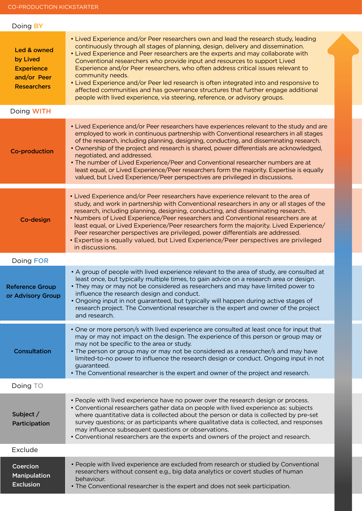| Doing <b>BY</b>                                                                   |                                                                                                                                                                                                                                                                                                                                                                                                                                                                                                                                                                                                                                                                                                                |
|-----------------------------------------------------------------------------------|----------------------------------------------------------------------------------------------------------------------------------------------------------------------------------------------------------------------------------------------------------------------------------------------------------------------------------------------------------------------------------------------------------------------------------------------------------------------------------------------------------------------------------------------------------------------------------------------------------------------------------------------------------------------------------------------------------------|
| Led & owned<br>by Lived<br><b>Experience</b><br>and/or Peer<br><b>Researchers</b> | • Lived Experience and/or Peer researchers own and lead the research study, leading<br>continuously through all stages of planning, design, delivery and dissemination.<br>• Lived Experience and Peer researchers are the experts and may collaborate with<br>Conventional researchers who provide input and resources to support Lived<br>Experience and/or Peer researchers, who often address critical issues relevant to<br>community needs.<br>• Lived Experience and/or Peer led research is often integrated into and responsive to<br>affected communities and has governance structures that further engage additional<br>people with lived experience, via steering, reference, or advisory groups. |
| Doing WITH                                                                        |                                                                                                                                                                                                                                                                                                                                                                                                                                                                                                                                                                                                                                                                                                                |
| <b>Co-production</b>                                                              | • Lived Experience and/or Peer researchers have experiences relevant to the study and are<br>employed to work in continuous partnership with Conventional researchers in all stages<br>of the research, including planning, designing, conducting, and disseminating research.<br>• Ownership of the project and research is shared, power differentials are acknowledged,<br>negotiated, and addressed.<br>• The number of Lived Experience/Peer and Conventional researcher numbers are at<br>least equal, or Lived Experience/Peer researchers form the majority. Expertise is equally<br>valued, but Lived Experience/Peer perspectives are privileged in discussions.                                     |
| Co-design                                                                         | • Lived Experience and/or Peer researchers have experience relevant to the area of<br>study, and work in partnership with Conventional researchers in any or all stages of the<br>research, including planning, designing, conducting, and disseminating research.<br>• Numbers of Lived Experience/Peer researchers and Conventional researchers are at<br>least equal, or Lived Experience/Peer researchers form the majority. Lived Experience/<br>Peer researcher perspectives are privileged, power differentials are addressed.<br>• Expertise is equally valued, but Lived Experience/Peer perspectives are privileged<br>in discussions.                                                               |
| Doing FOR                                                                         |                                                                                                                                                                                                                                                                                                                                                                                                                                                                                                                                                                                                                                                                                                                |
| <b>Reference Group</b><br>or Advisory Group                                       | • A group of people with lived experience relevant to the area of study, are consulted at<br>least once, but typically multiple times, to gain advice on a research area or design.<br>• They may or may not be considered as researchers and may have limited power to<br>influence the research design and conduct.<br>• Ongoing input in not guaranteed, but typically will happen during active stages of<br>research project. The Conventional researcher is the expert and owner of the project<br>and research.                                                                                                                                                                                         |
| <b>Consultation</b>                                                               | • One or more person/s with lived experience are consulted at least once for input that<br>may or may not impact on the design. The experience of this person or group may or<br>may not be specific to the area or study.<br>• The person or group may or may not be considered as a researcher/s and may have<br>limited-to-no power to influence the research design or conduct. Ongoing input in not<br>guaranteed.<br>• The Conventional researcher is the expert and owner of the project and research.                                                                                                                                                                                                  |
| Doing TO                                                                          |                                                                                                                                                                                                                                                                                                                                                                                                                                                                                                                                                                                                                                                                                                                |
| Subject /<br>Participation                                                        | • People with lived experience have no power over the research design or process.<br>• Conventional researchers gather data on people with lived experience as: subjects<br>where quantitative data is collected about the person or data is collected by pre-set<br>survey questions; or as participants where qualitative data is collected, and responses<br>may influence subsequent questions or observations.<br>• Conventional researchers are the experts and owners of the project and research.                                                                                                                                                                                                      |
| Exclude                                                                           |                                                                                                                                                                                                                                                                                                                                                                                                                                                                                                                                                                                                                                                                                                                |
| Coercion<br><b>Manipulation</b><br><b>Exclusion</b>                               | • People with lived experience are excluded from research or studied by Conventional<br>researchers without consent e.g., big data analytics or covert studies of human<br>behaviour.<br>• The Conventional researcher is the expert and does not seek participation.                                                                                                                                                                                                                                                                                                                                                                                                                                          |
|                                                                                   |                                                                                                                                                                                                                                                                                                                                                                                                                                                                                                                                                                                                                                                                                                                |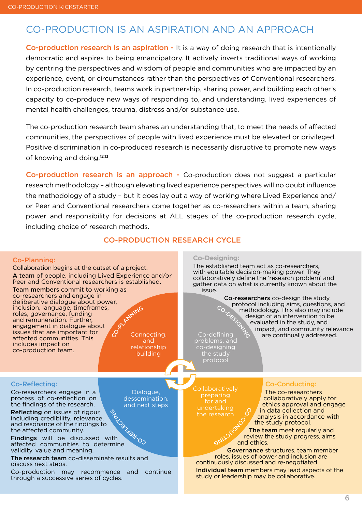## CO-PRODUCTION IS AN ASPIRATION AND AN APPROACH

Co-production research is an aspiration - It is a way of doing research that is intentionally democratic and aspires to being emancipatory. It actively inverts traditional ways of working by centring the perspectives and wisdom of people and communities who are impacted by an experience, event, or circumstances rather than the perspectives of Conventional researchers. In co-production research, teams work in partnership, sharing power, and building each other's capacity to co-produce new ways of responding to, and understanding, lived experiences of mental health challenges, trauma, distress and/or substance use.

The co-production research team shares an understanding that, to meet the needs of affected communities, the perspectives of people with lived experience must be elevated or privileged. Positive discrimination in co-produced research is necessarily disruptive to promote new ways of knowing and doing.12,13

Co-production research is an approach - Co-production does not suggest a particular research methodology – although elevating lived experience perspectives will no doubt influence the methodology of a study – but it does lay out a way of working where Lived Experience and/ or Peer and Conventional researchers come together as co-researchers within a team, sharing power and responsibility for decisions at ALL stages of the co-production research cycle, including choice of research methods.

#### CO-PRODUCTION RESEARCH CYCLE

#### Co-Planning:

Collaboration begins at the outset of a project. A team of people, including Lived Experience and/or Peer and Conventional researchers is established. Team members commit to working as co-researchers and engage in deliberative dialogue about power, inclusion, language, timeframes, roles, governance, funding and remuneration. Further, engagement in dialogue about issues that are important for affected communities. This includes impact on co-production team. Co.Rhywing Connecting, and relationship building

**Co-Designing:**

The established team act as co-researchers, with equitable decision-making power. They collaboratively define the 'research problem' and gather data on what is currently known about the issue.

 Co-researchers co-design the study protocol including aims, questions, and methodology. This also may include design of an intervention to be evaluated in the study, and O<sub>ESIGN</sub> Co-defining impact, and community relevance are continually addressed.

problems, and co-designing the study protocol

Co-Reflecting:

Co-researchers engage in a process of co-reflection on the findings of the research.

Reflecting on issues of rigour, including credibility, relevance, and resonance of the findings to the affected community.

Findings will be discussed with affected communities to determine validity, value and meaning. **SWANN SWARE** 

The research team co-disseminate results and discuss next steps.

Co-production may recommence and continue through a successive series of cycles.

 $\rm _{CO}$ 

Dialogue, dessemination, and next steps

**Collaboratively** preparing the research

G

 $\mathcal{S}$ 

#### Co-Conducting:

The co-researchers collaboratively apply for ethics approval and engage in data collection and analysis in accordance with the study protocol.

The team meet regularly and review the study progress, aims and ethics. Edici

Governance structures, team member roles, issues of power and inclusion are continuously discussed and re-negotiated. Individual team members may lead aspects of the study or leadership may be collaborative.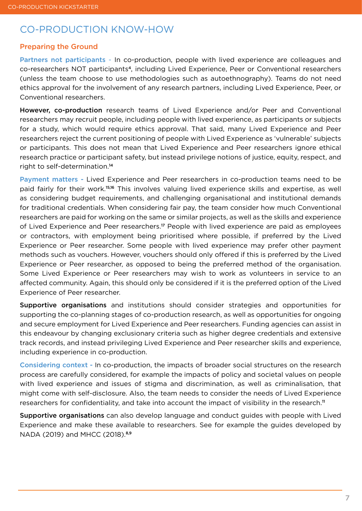## CO-PRODUCTION KNOW-HOW

#### Preparing the Ground

Partners not participants - In co-production, people with lived experience are colleagues and co-researchers NOT participants4, including Lived Experience, Peer or Conventional researchers (unless the team choose to use methodologies such as autoethnography). Teams do not need ethics approval for the involvement of any research partners, including Lived Experience, Peer, or Conventional researchers.

However, co-production research teams of Lived Experience and/or Peer and Conventional researchers may recruit people, including people with lived experience, as participants or subjects for a study, which would require ethics approval. That said, many Lived Experience and Peer researchers reject the current positioning of people with Lived Experience as 'vulnerable' subjects or participants. This does not mean that Lived Experience and Peer researchers ignore ethical research practice or participant safety, but instead privilege notions of justice, equity, respect, and right to self-determination.<sup>14</sup>

Payment matters - Lived Experience and Peer researchers in co-production teams need to be paid fairly for their work.15,16 This involves valuing lived experience skills and expertise, as well as considering budget requirements, and challenging organisational and institutional demands for traditional credentials. When considering fair pay, the team consider how much Conventional researchers are paid for working on the same or similar projects, as well as the skills and experience of Lived Experience and Peer researchers.17 People with lived experience are paid as employees or contractors, with employment being prioritised where possible, if preferred by the Lived Experience or Peer researcher. Some people with lived experience may prefer other payment methods such as vouchers. However, vouchers should only offered if this is preferred by the Lived Experience or Peer researcher, as opposed to being the preferred method of the organisation. Some Lived Experience or Peer researchers may wish to work as volunteers in service to an affected community. Again, this should only be considered if it is the preferred option of the Lived Experience of Peer researcher.

Supportive organisations and institutions should consider strategies and opportunities for supporting the co-planning stages of co-production research, as well as opportunities for ongoing and secure employment for Lived Experience and Peer researchers. Funding agencies can assist in this endeavour by changing exclusionary criteria such as higher degree credentials and extensive track records, and instead privileging Lived Experience and Peer researcher skills and experience, including experience in co-production.

Considering context - In co-production, the impacts of broader social structures on the research process are carefully considered, for example the impacts of policy and societal values on people with lived experience and issues of stigma and discrimination, as well as criminalisation, that might come with self-disclosure. Also, the team needs to consider the needs of Lived Experience researchers for confidentiality, and take into account the impact of visibility in the research.<sup>11</sup>

Supportive organisations can also develop language and conduct guides with people with Lived Experience and make these available to researchers. See for example the guides developed by NADA (2019) and MHCC (2018).<sup>8,9</sup>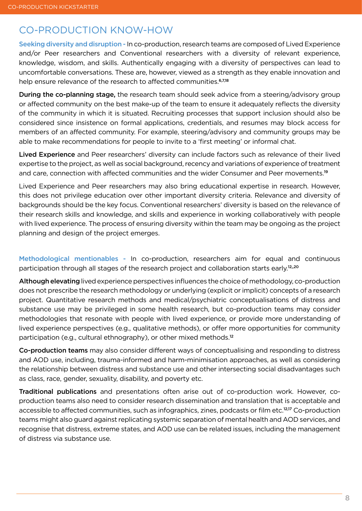# CO-PRODUCTION KNOW-HOW

Seeking diversity and disruption - In co-production, research teams are composed of Lived Experience and/or Peer researchers and Conventional researchers with a diversity of relevant experience, knowledge, wisdom, and skills. Authentically engaging with a diversity of perspectives can lead to uncomfortable conversations. These are, however, viewed as a strength as they enable innovation and help ensure relevance of the research to affected communities.<sup>6,7,18</sup>

During the co-planning stage, the research team should seek advice from a steering/advisory group or affected community on the best make-up of the team to ensure it adequately reflects the diversity of the community in which it is situated. Recruiting processes that support inclusion should also be considered since insistence on formal applications, credentials, and resumes may block access for members of an affected community. For example, steering/advisory and community groups may be able to make recommendations for people to invite to a 'first meeting' or informal chat.

Lived Experience and Peer researchers' diversity can include factors such as relevance of their lived expertise to the project, as well as social background, recency and variations of experience of treatment and care, connection with affected communities and the wider Consumer and Peer movements.<sup>19</sup>

Lived Experience and Peer researchers may also bring educational expertise in research. However, this does not privilege education over other important diversity criteria. Relevance and diversity of backgrounds should be the key focus. Conventional researchers' diversity is based on the relevance of their research skills and knowledge, and skills and experience in working collaboratively with people with lived experience. The process of ensuring diversity within the team may be ongoing as the project planning and design of the project emerges.

Methodological mentionables - In co-production, researchers aim for equal and continuous participation through all stages of the research project and collaboration starts early.<sup>12,,20</sup>

Although elevating lived experience perspectives influences the choice of methodology, co-production does not prescribe the research methodology or underlying (explicit or implicit) concepts of a research project. Quantitative research methods and medical/psychiatric conceptualisations of distress and substance use may be privileged in some health research, but co-production teams may consider methodologies that resonate with people with lived experience, or provide more understanding of lived experience perspectives (e.g., qualitative methods), or offer more opportunities for community participation (e.g., cultural ethnography), or other mixed methods.<sup>12</sup>

Co-production teams may also consider different ways of conceptualising and responding to distress and AOD use, including, trauma-informed and harm-minimisation approaches, as well as considering the relationship between distress and substance use and other intersecting social disadvantages such as class, race, gender, sexuality, disability, and poverty etc.

Traditional publications and presentations often arise out of co-production work. However, coproduction teams also need to consider research dissemination and translation that is acceptable and accessible to affected communities, such as infographics, zines, podcasts or film etc.<sup>12,17</sup> Co-production teams might also guard against replicating systemic separation of mental health and AOD services, and recognise that distress, extreme states, and AOD use can be related issues, including the management of distress via substance use.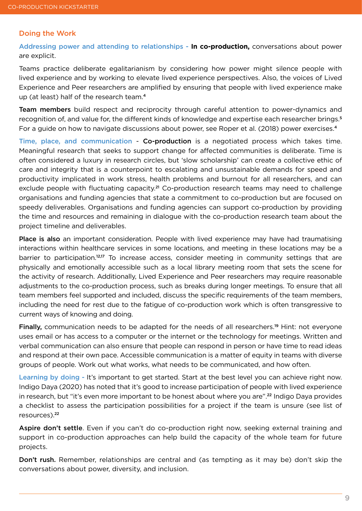#### Doing the Work

Addressing power and attending to relationships - **In co-production,** conversations about power are explicit.

Teams practice deliberate egalitarianism by considering how power might silence people with lived experience and by working to elevate lived experience perspectives. Also, the voices of Lived Experience and Peer researchers are amplified by ensuring that people with lived experience make up (at least) half of the research team.<sup>4</sup>

Team members build respect and reciprocity through careful attention to power-dynamics and recognition of, and value for, the different kinds of knowledge and expertise each researcher brings.<sup>5</sup> For a guide on how to navigate discussions about power, see Roper et al. (2018) power exercises.<sup>4</sup>

Time, place, and communication - Co-production is a negotiated process which takes time. Meaningful research that seeks to support change for affected communities is deliberate. Time is often considered a luxury in research circles, but 'slow scholarship' can create a collective ethic of care and integrity that is a counterpoint to escalating and unsustainable demands for speed and productivity implicated in work stress, health problems and burnout for all researchers, and can exclude people with fluctuating capacity.<sup>21</sup> Co-production research teams may need to challenge organisations and funding agencies that state a commitment to co-production but are focused on speedy deliverables. Organisations and funding agencies can support co-production by providing the time and resources and remaining in dialogue with the co-production research team about the project timeline and deliverables.

Place is also an important consideration. People with lived experience may have had traumatising interactions within healthcare services in some locations, and meeting in these locations may be a barrier to participation.<sup>12,17</sup> To increase access, consider meeting in community settings that are physically and emotionally accessible such as a local library meeting room that sets the scene for the activity of research. Additionally, Lived Experience and Peer researchers may require reasonable adjustments to the co-production process, such as breaks during longer meetings. To ensure that all team members feel supported and included, discuss the specific requirements of the team members, including the need for rest due to the fatigue of co-production work which is often transgressive to current ways of knowing and doing.

**Finally,** communication needs to be adapted for the needs of all researchers.<sup>19</sup> Hint: not everyone uses email or has access to a computer or the internet or the technology for meetings. Written and verbal communication can also ensure that people can respond in person or have time to read ideas and respond at their own pace. Accessible communication is a matter of equity in teams with diverse groups of people. Work out what works, what needs to be communicated, and how often.

Learning by doing - It's important to get started. Start at the best level you can achieve right now. Indigo Daya (2020) has noted that it's good to increase participation of people with lived experience in research, but "it's even more important to be honest about where you are".22 Indigo Daya provides a checklist to assess the participation possibilities for a project if the team is unsure (see list of resources).<sup>22</sup>

Aspire don't settle. Even if you can't do co-production right now, seeking external training and support in co-production approaches can help build the capacity of the whole team for future projects.

Don't rush. Remember, relationships are central and (as tempting as it may be) don't skip the conversations about power, diversity, and inclusion.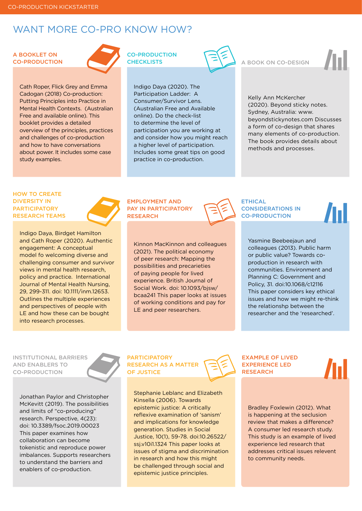### WANT MORE CO-PRO KNOW HOW?

#### A BOOKLET ON CO-PRODUCTION

Cath Roper, Flick Grey and Emma Cadogan (2018) Co-production: Putting Principles into Practice in Mental Health Contexts. (Australian Free and available online). This booklet provides a detailed [overview of the principles, practices](https://healthsciences.unimelb.edu.au/__data/assets/pdf_file/0007/3392215/Coproduction_putting-principles-into-practice.pdf)  and challenges of co-production and how to have conversations about power. It includes some case study examples.

#### CO-PRODUCTION **CHECKLISTS**

Indigo Daya (2020). The Participation Ladder: A Consumer/Survivor Lens. (Australian Free and Available online). Do the check-list to determine the level of participation you are working at [and consider how you might reach](http://www.indigodaya.com/wpcf7_captcha/2020/10/Participation-ladder_consumer_survivor-lens-2.pdf)  a higher level of participation. Includes some great tips on good practice in co-production.

A BOOK ON CO-DESIGN

Kelly Ann McKercher (2020). Beyond sticky notes. Sydney, Australia: www. [beyondstickynotes.com Discusses](https://www.beyondstickynotes.com/tellmemore)  a form of co-design that shares many elements of co-production. The book provides details about methods and processes.

#### HOW TO CREATE DIVERSITY IN **PARTICIPATORY** RESEARCH TEAMS

Indigo Daya, Birdget Hamilton and Cath Roper (2020). Authentic engagement: A conceptual model fo welcoming diverse and [challenging consumer and survivor](https://onlinelibrary.wiley.com/doi/full/10.1111/inm.12653)  views in mental health research, policy and practice. International Journal of Mental Health Nursing, 29, 299-311. doi: 10.1111/inm.12653. Outlines the multiple experiences and perspectives of people with LE and how these can be bought into research processes.

#### EMPLOYMENT AND PAY IN PARTICIPATORY RESEARCH

[Kinnon MacKinnon and colleagues](https://www.researchgate.net/publication/348482870_The_Political_Economy_of_Peer_Research_Mapping_the_Possibilities_and_Precarities_of_Paying_People_for_Lived_Experience)  (2021). The political economy of peer research: Mapping the possibilities and precarieties of paying people for lived experience. British Journal of Social Work. doi: 10.1093/bjsw/ bcaa241 This paper looks at issues of working conditions and pay for LE and peer researchers.

ETHICAL CONSIDERATIONS IN CO-PRODUCTION

> Yasmine Beebeejaun and colleagues (2013). Public harm or public value? Towards coproduction in research with communities. Environment and Planning C: Government and Policy, 31. doi:10.1068/c12116 This paper considers key ethical [issues and how we might re-think](https://www.researchgate.net/publication/273290237_Public_harm_or_public_value_Towards_coproduction_in_research_with_communities)  the relationshp between the researcher and the 'researched'.

INSTITUTIONAL BARRIERS AND ENABLERS TO CO-PRODUCTION

Jonathan Paylor and Christopher McKevitt (2019). The possibilities and limits of "co-producing" research. Perspective, 4(23): doi: 10.3389/fsoc.2019.00023 This paper examines how collaboration can become tokenistic and reproduce power [imbalances. Supports researchers](https://www.frontiersin.org/articles/10.3389/fsoc.2019.00023/full)  to understand the barriers and enablers of co-production.

#### **PARTICIPATORY** RESEARCH AS A MATTER OF JUSTICE

Stephanie Leblanc and Elizabeth Kinsella (2006). Towards epistemic justice: A critically reflexive examination of 'sanism' and implications for knowledge generation. Studies in Social Justice, 10(1), 59-78. doi:10.26522/ ssj.v10i1.1324 This paper looks at [issues of stigma and discrimination](https://www.researchgate.net/publication/307167614_Toward_Epistemic_Justice_A_Critically_Reflexive_Examination_of_)  in research and how this might be challenged through social and epistemic justice principles.

EXAMPLE OF LIVED EXPERIENCE LED **RESEARCH** 

> Bradley Foxlewin (2012). What is happening at the seclusion review that makes a difference? A consumer led research study. This study is an example of lived experience led research that [addresses critical issues relevent](https://www.actmhcn.org.au/wp-content/uploads/2018/09/2012-06_REPORT_SRRM_RESEARCH_incl_Executive_Summary.pdf)  to community needs.



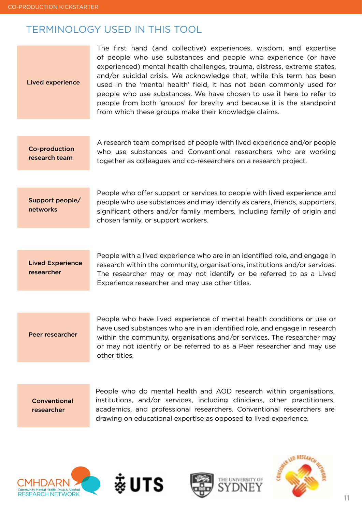# <span id="page-10-0"></span>TERMINOLOGY USED IN THIS TOOL

| <b>Lived experience</b>               | The first hand (and collective) experiences, wisdom, and expertise<br>of people who use substances and people who experience (or have<br>experienced) mental health challenges, trauma, distress, extreme states,<br>and/or suicidal crisis. We acknowledge that, while this term has been<br>used in the 'mental health' field, it has not been commonly used for<br>people who use substances. We have chosen to use it here to refer to<br>people from both 'groups' for brevity and because it is the standpoint<br>from which these groups make their knowledge claims. |  |  |  |
|---------------------------------------|------------------------------------------------------------------------------------------------------------------------------------------------------------------------------------------------------------------------------------------------------------------------------------------------------------------------------------------------------------------------------------------------------------------------------------------------------------------------------------------------------------------------------------------------------------------------------|--|--|--|
|                                       |                                                                                                                                                                                                                                                                                                                                                                                                                                                                                                                                                                              |  |  |  |
| <b>Co-production</b><br>research team | A research team comprised of people with lived experience and/or people<br>who use substances and Conventional researchers who are working<br>together as colleagues and co-researchers on a research project.                                                                                                                                                                                                                                                                                                                                                               |  |  |  |
|                                       |                                                                                                                                                                                                                                                                                                                                                                                                                                                                                                                                                                              |  |  |  |
| Support people/<br>networks           | People who offer support or services to people with lived experience and<br>people who use substances and may identify as carers, friends, supporters,<br>significant others and/or family members, including family of origin and<br>chosen family, or support workers.                                                                                                                                                                                                                                                                                                     |  |  |  |
|                                       |                                                                                                                                                                                                                                                                                                                                                                                                                                                                                                                                                                              |  |  |  |
| <b>Lived Experience</b><br>researcher | People with a lived experience who are in an identified role, and engage in<br>research within the community, organisations, institutions and/or services.<br>The researcher may or may not identify or be referred to as a Lived<br>Experience researcher and may use other titles.                                                                                                                                                                                                                                                                                         |  |  |  |
|                                       |                                                                                                                                                                                                                                                                                                                                                                                                                                                                                                                                                                              |  |  |  |

Peer researcher

People who have lived experience of mental health conditions or use or have used substances who are in an identified role, and engage in research within the community, organisations and/or services. The researcher may or may not identify or be referred to as a Peer researcher and may use other titles.

**Conventional** researcher

People who do mental health and AOD research within organisations, institutions, and/or services, including clinicians, other practitioners, academics, and professional researchers. Conventional researchers are drawing on educational expertise as opposed to lived experience.







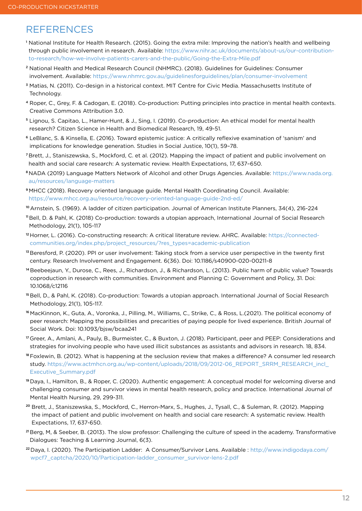### REFERENCES

- <sup>1</sup> National Institute for Health Research. (2015). Going the extra mile: Improving the nation's health and wellbeing through public involvement in research. Available: [https://www.nihr.ac.uk/documents/about-us/our-contribution](https://www.nihr.ac.uk/documents/about-us/our-contribution-to-research/how-we-involve-patients-carer)[to-research/how-we-involve-patients-carers-and-the-public/Going-the-Extra-Mile.pdf](https://www.nihr.ac.uk/documents/about-us/our-contribution-to-research/how-we-involve-patients-carer)
- <sup>2</sup> National Health and Medical Research Council (NHMRC). (2018). Guidelines for Guidelines: Consumer involvement. Available: [https://www.nhmrc.gov.au/guidelinesforguidelines/plan/consumer-involvement](https://www.nhmrc.gov.au/guidelinesforguidelines/plan/consumer-involvement )
- <sup>3</sup> Matias, N. (2011). Co-design in a historical context. MIT Centre for Civic Media. Massachusetts Institute of Technology.
- <sup>4</sup> Roper, C., Grey, F. & Cadogan, E. (2018). Co-production: Putting principles into practice in mental health contexts. Creative Commons Attribution 3.0.
- <sup>5</sup> Lignou, S. Capitao, L., Hamer-Hunt, & J., Sing, I. (2019). Co-production: An ethical model for mental health research? Citizen Science in Health and Biomedical Research, 19, 49-51.
- <sup>6</sup> LeBlanc, S. & Kinsella, E. (2016). Toward epistemic justice: A critically reflexive examination of 'sanism' and implications for knowledge generation. Studies in Social Justice, 10(1), 59–78.
- <sup>7</sup>Brett, J., Staniszewska, S., Mockford, C. et al. (2012). Mapping the impact of patient and public involvement on health and social care research: A systematic review. Health Expectations, 17, 637–650.
- <sup>8</sup>NADA (2019) Language Matters Network of Alcohol and other Drugs Agencies. Available: [https://www.nada.org.](https://www.nada.org.au/resources/language-matters) [au/resources/language-matters](https://www.nada.org.au/resources/language-matters)
- <sup>9</sup>MHCC (2018). Recovery oriented language guide. Mental Health Coordinating Council. Available: <https://www.mhcc.org.au/resource/recovery-oriented-language-guide-2nd-ed/>
- 10 Arnstein, S. (1969). A ladder of citizen participation. Journal of American Institute Planners, 34(4), 216-224
- <sup>11</sup>Bell, D. & Pahl, K. (2018) Co-production: towards a utopian approach, International Journal of Social Research Methodology, 21(1), 105-117
- 12 Horner, L. (2016). Co-constructing research: A critical literature review. AHRC. Available: [https://connected](https://connected-communities.org/index.php/project_resources/?res_types=academic-publication)[communities.org/index.php/project\\_resources/?res\\_types=academic-publication](https://connected-communities.org/index.php/project_resources/?res_types=academic-publication)
- <sup>13</sup> Beresford, P. (2020). PPI or user involvement: Taking stock from a service user perspective in the twenty first century. Research Involvement and Engagement. 6(36). Doi: 10.1186/s40900-020-00211-8
- <sup>14</sup>Beebeejaun, Y., Durose, C., Rees, J., Richardson, J., & Richardson, L. (2013). Public harm of public value? Towards coproduction in research with communities. Environment and Planning C: Government and Policy, 31. Doi: 10.1068/c12116
- <sup>15</sup> Bell, D., & Pahl, K. (2018). Co-production: Towards a utopian approach. International Journal of Social Research Methodology, 21(1), 105-117.
- 16 MacKinnon, K., Guta, A., Voronka, J., Pilling, M., Williams, C., Strike, C., & Ross, L.(2021). The political economy of peer research: Mapping the possibilities and precarities of paying people for lived experience. British Journal of Social Work. Doi: 10.1093/bjsw/bcaa241
- <sup>17</sup>Greer, A., Amlani, A., Pauly, B., Burmeister, C., & Buxton, J. (2018). Participant, peer and PEEP: Considerations and strategies for involving people who have used illicit substances as assistants and advisors in research. 18, 834.
- <sup>18</sup>Foxlewin, B. (2012). What is happening at the seclusion review that makes a difference? A consumer led research study. https://www.actmhcn.org.au/wp-content/uploads/2018/09/2012-06\_REPORT\_SRRM\_RESEARCH\_incl [Executive\\_Summary.pdf](https://www.actmhcn.org.au/wp-content/uploads/2018/09/2012-06_REPORT_SRRM_RESEARCH_incl_Executive_Summary.pdf )
- <sup>19</sup>Daya, I., Hamilton, B., & Roper, C. (2020). Authentic engagement: A conceptual model for welcoming diverse and challenging consumer and survivor views in mental health research, policy and practice. International Journal of Mental Health Nursing, 29, 299-311.
- <sup>20</sup> Brett, J., Staniszewska, S., Mockford, C., Herron-Marx, S., Hughes, J., Tysall, C., & Suleman, R. (2012). Mapping the impact of patient and public involvement on health and social care research: A systematic review. Health Expectations, 17, 637-650.
- <sup>21</sup>Berg, M, & Seeber, B. (2013). The slow professor: Challenging the culture of speed in the academy. Transformative Dialogues: Teaching & Learning Journal, 6(3).
- <sup>22</sup>Daya, I. (2020). The Participation Ladder: A Consumer/Survivor Lens. Available : [http://www.indigodaya.com/](http://www.indigodaya.com/wpcf7_captcha/2020/10/Participation-ladder_consumer_survivor-lens-2.pdf) [wpcf7\\_captcha/2020/10/Participation-ladder\\_consumer\\_survivor-lens-2.pdf](http://www.indigodaya.com/wpcf7_captcha/2020/10/Participation-ladder_consumer_survivor-lens-2.pdf)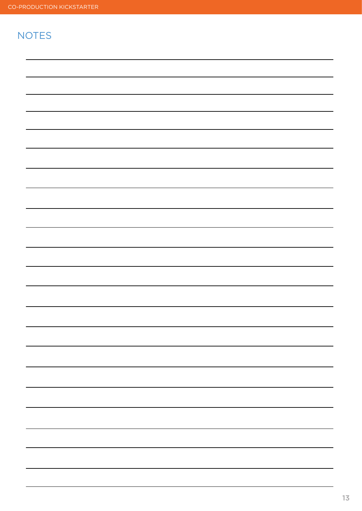# **NOTES**